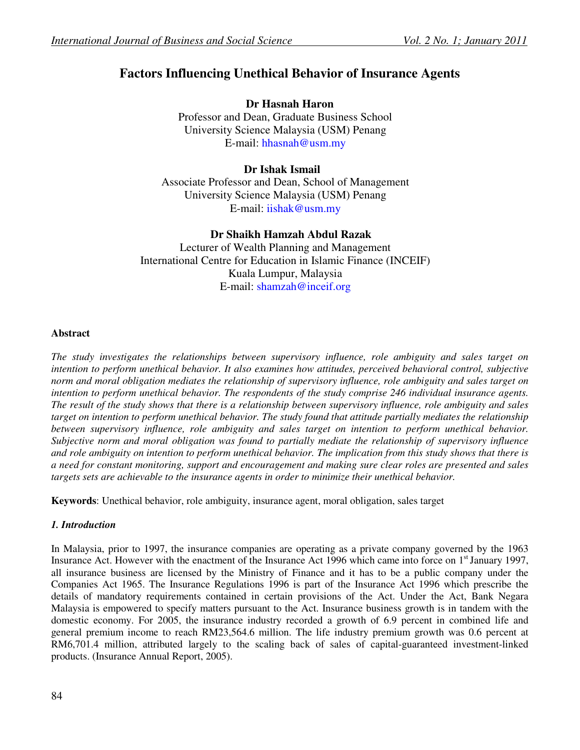# **Factors Influencing Unethical Behavior of Insurance Agents**

**Dr Hasnah Haron**  Professor and Dean, Graduate Business School University Science Malaysia (USM) Penang E-mail: hhasnah@usm.my

## **Dr Ishak Ismail**

Associate Professor and Dean, School of Management University Science Malaysia (USM) Penang E-mail: iishak@usm.my

## **Dr Shaikh Hamzah Abdul Razak**

Lecturer of Wealth Planning and Management International Centre for Education in Islamic Finance (INCEIF) Kuala Lumpur, Malaysia E-mail: shamzah@inceif.org

## **Abstract**

*The study investigates the relationships between supervisory influence, role ambiguity and sales target on intention to perform unethical behavior. It also examines how attitudes, perceived behavioral control, subjective norm and moral obligation mediates the relationship of supervisory influence, role ambiguity and sales target on intention to perform unethical behavior. The respondents of the study comprise 246 individual insurance agents. The result of the study shows that there is a relationship between supervisory influence, role ambiguity and sales target on intention to perform unethical behavior. The study found that attitude partially mediates the relationship between supervisory influence, role ambiguity and sales target on intention to perform unethical behavior. Subjective norm and moral obligation was found to partially mediate the relationship of supervisory influence and role ambiguity on intention to perform unethical behavior. The implication from this study shows that there is a need for constant monitoring, support and encouragement and making sure clear roles are presented and sales targets sets are achievable to the insurance agents in order to minimize their unethical behavior.* 

**Keywords**: Unethical behavior, role ambiguity, insurance agent, moral obligation, sales target

## *1. Introduction*

In Malaysia, prior to 1997, the insurance companies are operating as a private company governed by the 1963 Insurance Act. However with the enactment of the Insurance Act 1996 which came into force on 1<sup>st</sup> January 1997, all insurance business are licensed by the Ministry of Finance and it has to be a public company under the Companies Act 1965. The Insurance Regulations 1996 is part of the Insurance Act 1996 which prescribe the details of mandatory requirements contained in certain provisions of the Act. Under the Act, Bank Negara Malaysia is empowered to specify matters pursuant to the Act. Insurance business growth is in tandem with the domestic economy. For 2005, the insurance industry recorded a growth of 6.9 percent in combined life and general premium income to reach RM23,564.6 million. The life industry premium growth was 0.6 percent at RM6,701.4 million, attributed largely to the scaling back of sales of capital-guaranteed investment-linked products. (Insurance Annual Report, 2005).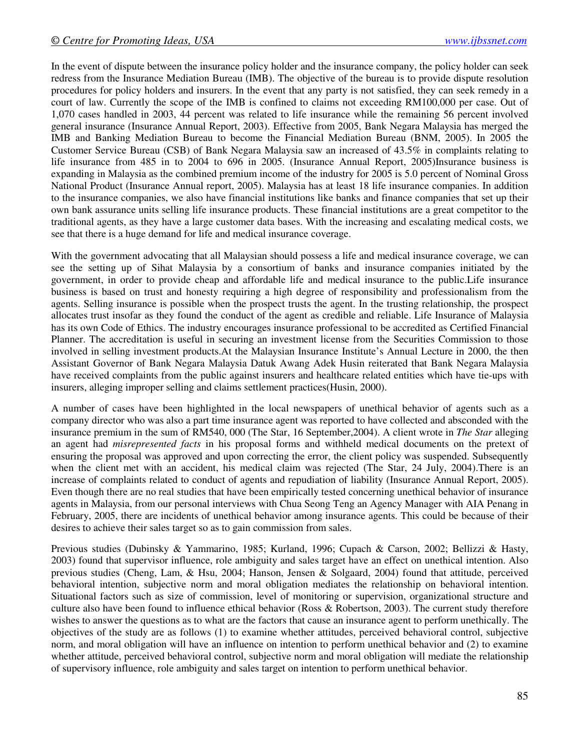In the event of dispute between the insurance policy holder and the insurance company, the policy holder can seek redress from the Insurance Mediation Bureau (IMB). The objective of the bureau is to provide dispute resolution procedures for policy holders and insurers. In the event that any party is not satisfied, they can seek remedy in a court of law. Currently the scope of the IMB is confined to claims not exceeding RM100,000 per case. Out of 1,070 cases handled in 2003, 44 percent was related to life insurance while the remaining 56 percent involved general insurance (Insurance Annual Report, 2003). Effective from 2005, Bank Negara Malaysia has merged the IMB and Banking Mediation Bureau to become the Financial Mediation Bureau (BNM, 2005). In 2005 the Customer Service Bureau (CSB) of Bank Negara Malaysia saw an increased of 43.5% in complaints relating to life insurance from 485 in to 2004 to 696 in 2005. (Insurance Annual Report, 2005)Insurance business is expanding in Malaysia as the combined premium income of the industry for 2005 is 5.0 percent of Nominal Gross National Product (Insurance Annual report, 2005). Malaysia has at least 18 life insurance companies. In addition to the insurance companies, we also have financial institutions like banks and finance companies that set up their own bank assurance units selling life insurance products. These financial institutions are a great competitor to the traditional agents, as they have a large customer data bases. With the increasing and escalating medical costs, we see that there is a huge demand for life and medical insurance coverage.

With the government advocating that all Malaysian should possess a life and medical insurance coverage, we can see the setting up of Sihat Malaysia by a consortium of banks and insurance companies initiated by the government, in order to provide cheap and affordable life and medical insurance to the public.Life insurance business is based on trust and honesty requiring a high degree of responsibility and professionalism from the agents. Selling insurance is possible when the prospect trusts the agent. In the trusting relationship, the prospect allocates trust insofar as they found the conduct of the agent as credible and reliable. Life Insurance of Malaysia has its own Code of Ethics. The industry encourages insurance professional to be accredited as Certified Financial Planner. The accreditation is useful in securing an investment license from the Securities Commission to those involved in selling investment products.At the Malaysian Insurance Institute's Annual Lecture in 2000, the then Assistant Governor of Bank Negara Malaysia Datuk Awang Adek Husin reiterated that Bank Negara Malaysia have received complaints from the public against insurers and healthcare related entities which have tie-ups with insurers, alleging improper selling and claims settlement practices(Husin, 2000).

A number of cases have been highlighted in the local newspapers of unethical behavior of agents such as a company director who was also a part time insurance agent was reported to have collected and absconded with the insurance premium in the sum of RM540, 000 (The Star, 16 September,2004). A client wrote in *The Star* alleging an agent had *misrepresented facts* in his proposal forms and withheld medical documents on the pretext of ensuring the proposal was approved and upon correcting the error, the client policy was suspended. Subsequently when the client met with an accident, his medical claim was rejected (The Star, 24 July, 2004).There is an increase of complaints related to conduct of agents and repudiation of liability (Insurance Annual Report, 2005). Even though there are no real studies that have been empirically tested concerning unethical behavior of insurance agents in Malaysia, from our personal interviews with Chua Seong Teng an Agency Manager with AIA Penang in February, 2005, there are incidents of unethical behavior among insurance agents. This could be because of their desires to achieve their sales target so as to gain commission from sales.

Previous studies (Dubinsky & Yammarino, 1985; Kurland, 1996; Cupach & Carson, 2002; Bellizzi & Hasty, 2003) found that supervisor influence, role ambiguity and sales target have an effect on unethical intention. Also previous studies (Cheng, Lam, & Hsu, 2004; Hanson, Jensen & Solgaard, 2004) found that attitude, perceived behavioral intention, subjective norm and moral obligation mediates the relationship on behavioral intention. Situational factors such as size of commission, level of monitoring or supervision, organizational structure and culture also have been found to influence ethical behavior (Ross & Robertson, 2003). The current study therefore wishes to answer the questions as to what are the factors that cause an insurance agent to perform unethically. The objectives of the study are as follows (1) to examine whether attitudes, perceived behavioral control, subjective norm, and moral obligation will have an influence on intention to perform unethical behavior and (2) to examine whether attitude, perceived behavioral control, subjective norm and moral obligation will mediate the relationship of supervisory influence, role ambiguity and sales target on intention to perform unethical behavior.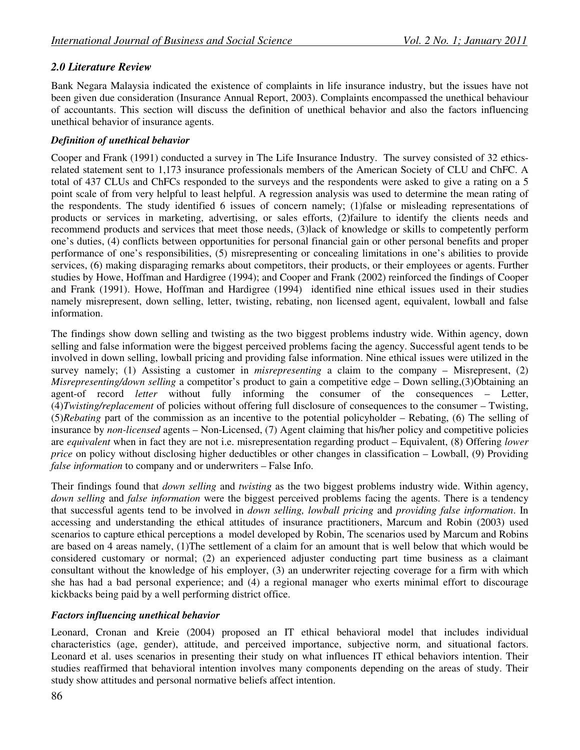## *2.0 Literature Review*

Bank Negara Malaysia indicated the existence of complaints in life insurance industry, but the issues have not been given due consideration (Insurance Annual Report, 2003). Complaints encompassed the unethical behaviour of accountants. This section will discuss the definition of unethical behavior and also the factors influencing unethical behavior of insurance agents.

## *Definition of unethical behavior*

Cooper and Frank (1991) conducted a survey in The Life Insurance Industry. The survey consisted of 32 ethicsrelated statement sent to 1,173 insurance professionals members of the American Society of CLU and ChFC. A total of 437 CLUs and ChFCs responded to the surveys and the respondents were asked to give a rating on a 5 point scale of from very helpful to least helpful. A regression analysis was used to determine the mean rating of the respondents. The study identified 6 issues of concern namely; (1)false or misleading representations of products or services in marketing, advertising, or sales efforts, (2)failure to identify the clients needs and recommend products and services that meet those needs, (3)lack of knowledge or skills to competently perform one's duties, (4) conflicts between opportunities for personal financial gain or other personal benefits and proper performance of one's responsibilities, (5) misrepresenting or concealing limitations in one's abilities to provide services, (6) making disparaging remarks about competitors, their products, or their employees or agents. Further studies by Howe, Hoffman and Hardigree (1994); and Cooper and Frank (2002) reinforced the findings of Cooper and Frank (1991). Howe, Hoffman and Hardigree (1994) identified nine ethical issues used in their studies namely misrepresent, down selling, letter, twisting, rebating, non licensed agent, equivalent, lowball and false information.

The findings show down selling and twisting as the two biggest problems industry wide. Within agency, down selling and false information were the biggest perceived problems facing the agency. Successful agent tends to be involved in down selling, lowball pricing and providing false information. Nine ethical issues were utilized in the survey namely; (1) Assisting a customer in *misrepresenting* a claim to the company – Misrepresent, (2) *Misrepresenting/down selling* a competitor's product to gain a competitive edge – Down selling,(3)Obtaining an agent-of record *letter* without fully informing the consumer of the consequences – Letter, (4)*Twisting/replacement* of policies without offering full disclosure of consequences to the consumer – Twisting, (5)*Rebating* part of the commission as an incentive to the potential policyholder – Rebating, (6) The selling of insurance by *non-licensed* agents – Non-Licensed, (7) Agent claiming that his/her policy and competitive policies are *equivalent* when in fact they are not i.e. misrepresentation regarding product – Equivalent, (8) Offering *lower price* on policy without disclosing higher deductibles or other changes in classification – Lowball, (9) Providing *false information* to company and or underwriters – False Info.

Their findings found that *down selling* and *twisting* as the two biggest problems industry wide. Within agency, *down selling* and *false information* were the biggest perceived problems facing the agents. There is a tendency that successful agents tend to be involved in *down selling, lowball pricing* and *providing false information*. In accessing and understanding the ethical attitudes of insurance practitioners, Marcum and Robin (2003) used scenarios to capture ethical perceptions a model developed by Robin, The scenarios used by Marcum and Robins are based on 4 areas namely, (1)The settlement of a claim for an amount that is well below that which would be considered customary or normal; (2) an experienced adjuster conducting part time business as a claimant consultant without the knowledge of his employer, (3) an underwriter rejecting coverage for a firm with which she has had a bad personal experience; and (4) a regional manager who exerts minimal effort to discourage kickbacks being paid by a well performing district office.

## *Factors influencing unethical behavior*

Leonard, Cronan and Kreie (2004) proposed an IT ethical behavioral model that includes individual characteristics (age, gender), attitude, and perceived importance, subjective norm, and situational factors. Leonard et al. uses scenarios in presenting their study on what influences IT ethical behaviors intention. Their studies reaffirmed that behavioral intention involves many components depending on the areas of study. Their study show attitudes and personal normative beliefs affect intention.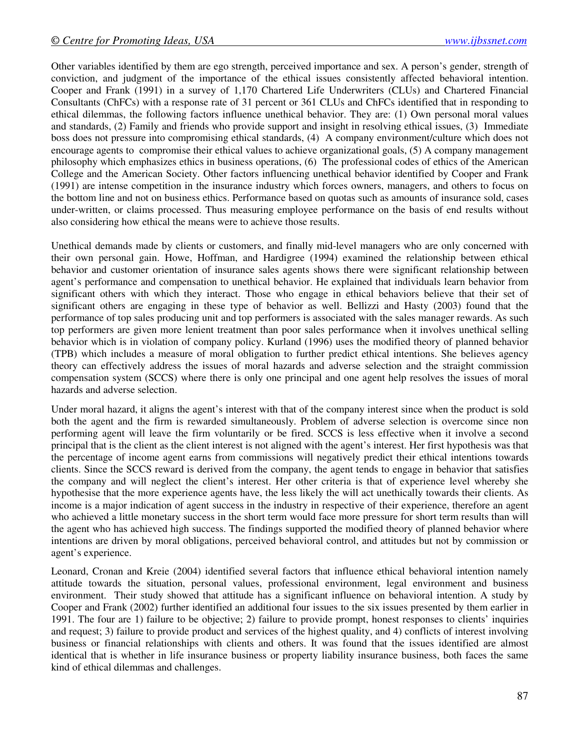Other variables identified by them are ego strength, perceived importance and sex. A person's gender, strength of conviction, and judgment of the importance of the ethical issues consistently affected behavioral intention. Cooper and Frank (1991) in a survey of 1,170 Chartered Life Underwriters (CLUs) and Chartered Financial Consultants (ChFCs) with a response rate of 31 percent or 361 CLUs and ChFCs identified that in responding to ethical dilemmas, the following factors influence unethical behavior. They are: (1) Own personal moral values and standards, (2) Family and friends who provide support and insight in resolving ethical issues, (3) Immediate boss does not pressure into compromising ethical standards, (4) A company environment/culture which does not encourage agents to compromise their ethical values to achieve organizational goals, (5) A company management philosophy which emphasizes ethics in business operations, (6) The professional codes of ethics of the American College and the American Society. Other factors influencing unethical behavior identified by Cooper and Frank (1991) are intense competition in the insurance industry which forces owners, managers, and others to focus on the bottom line and not on business ethics. Performance based on quotas such as amounts of insurance sold, cases under-written, or claims processed. Thus measuring employee performance on the basis of end results without also considering how ethical the means were to achieve those results.

Unethical demands made by clients or customers, and finally mid-level managers who are only concerned with their own personal gain. Howe, Hoffman, and Hardigree (1994) examined the relationship between ethical behavior and customer orientation of insurance sales agents shows there were significant relationship between agent's performance and compensation to unethical behavior. He explained that individuals learn behavior from significant others with which they interact. Those who engage in ethical behaviors believe that their set of significant others are engaging in these type of behavior as well. Bellizzi and Hasty (2003) found that the performance of top sales producing unit and top performers is associated with the sales manager rewards. As such top performers are given more lenient treatment than poor sales performance when it involves unethical selling behavior which is in violation of company policy. Kurland (1996) uses the modified theory of planned behavior (TPB) which includes a measure of moral obligation to further predict ethical intentions. She believes agency theory can effectively address the issues of moral hazards and adverse selection and the straight commission compensation system (SCCS) where there is only one principal and one agent help resolves the issues of moral hazards and adverse selection.

Under moral hazard, it aligns the agent's interest with that of the company interest since when the product is sold both the agent and the firm is rewarded simultaneously. Problem of adverse selection is overcome since non performing agent will leave the firm voluntarily or be fired. SCCS is less effective when it involve a second principal that is the client as the client interest is not aligned with the agent's interest. Her first hypothesis was that the percentage of income agent earns from commissions will negatively predict their ethical intentions towards clients. Since the SCCS reward is derived from the company, the agent tends to engage in behavior that satisfies the company and will neglect the client's interest. Her other criteria is that of experience level whereby she hypothesise that the more experience agents have, the less likely the will act unethically towards their clients. As income is a major indication of agent success in the industry in respective of their experience, therefore an agent who achieved a little monetary success in the short term would face more pressure for short term results than will the agent who has achieved high success. The findings supported the modified theory of planned behavior where intentions are driven by moral obligations, perceived behavioral control, and attitudes but not by commission or agent's experience.

Leonard, Cronan and Kreie (2004) identified several factors that influence ethical behavioral intention namely attitude towards the situation, personal values, professional environment, legal environment and business environment. Their study showed that attitude has a significant influence on behavioral intention. A study by Cooper and Frank (2002) further identified an additional four issues to the six issues presented by them earlier in 1991. The four are 1) failure to be objective; 2) failure to provide prompt, honest responses to clients' inquiries and request; 3) failure to provide product and services of the highest quality, and 4) conflicts of interest involving business or financial relationships with clients and others. It was found that the issues identified are almost identical that is whether in life insurance business or property liability insurance business, both faces the same kind of ethical dilemmas and challenges.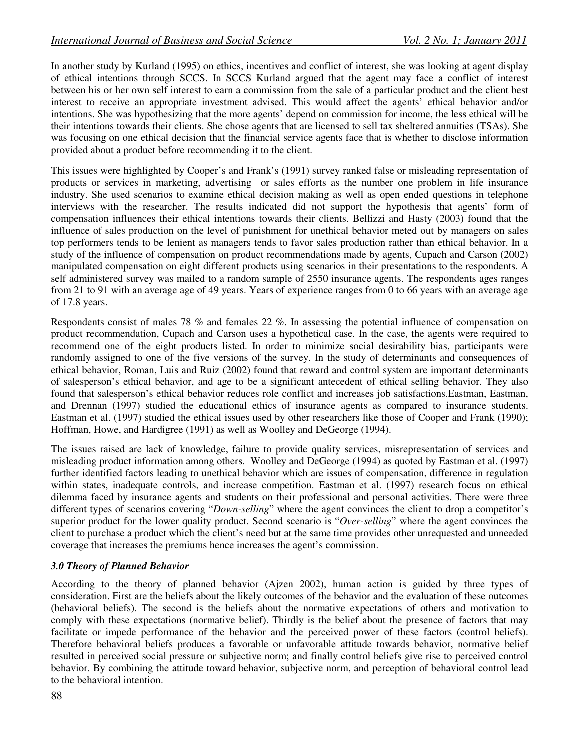In another study by Kurland (1995) on ethics, incentives and conflict of interest, she was looking at agent display of ethical intentions through SCCS. In SCCS Kurland argued that the agent may face a conflict of interest between his or her own self interest to earn a commission from the sale of a particular product and the client best interest to receive an appropriate investment advised. This would affect the agents' ethical behavior and/or intentions. She was hypothesizing that the more agents' depend on commission for income, the less ethical will be their intentions towards their clients. She chose agents that are licensed to sell tax sheltered annuities (TSAs). She was focusing on one ethical decision that the financial service agents face that is whether to disclose information provided about a product before recommending it to the client.

This issues were highlighted by Cooper's and Frank's (1991) survey ranked false or misleading representation of products or services in marketing, advertising or sales efforts as the number one problem in life insurance industry. She used scenarios to examine ethical decision making as well as open ended questions in telephone interviews with the researcher. The results indicated did not support the hypothesis that agents' form of compensation influences their ethical intentions towards their clients. Bellizzi and Hasty (2003) found that the influence of sales production on the level of punishment for unethical behavior meted out by managers on sales top performers tends to be lenient as managers tends to favor sales production rather than ethical behavior. In a study of the influence of compensation on product recommendations made by agents, Cupach and Carson (2002) manipulated compensation on eight different products using scenarios in their presentations to the respondents. A self administered survey was mailed to a random sample of 2550 insurance agents. The respondents ages ranges from 21 to 91 with an average age of 49 years. Years of experience ranges from 0 to 66 years with an average age of 17.8 years.

Respondents consist of males 78 % and females 22 %. In assessing the potential influence of compensation on product recommendation, Cupach and Carson uses a hypothetical case. In the case, the agents were required to recommend one of the eight products listed. In order to minimize social desirability bias, participants were randomly assigned to one of the five versions of the survey. In the study of determinants and consequences of ethical behavior, Roman, Luis and Ruiz (2002) found that reward and control system are important determinants of salesperson's ethical behavior, and age to be a significant antecedent of ethical selling behavior. They also found that salesperson's ethical behavior reduces role conflict and increases job satisfactions.Eastman, Eastman, and Drennan (1997) studied the educational ethics of insurance agents as compared to insurance students. Eastman et al. (1997) studied the ethical issues used by other researchers like those of Cooper and Frank (1990); Hoffman, Howe, and Hardigree (1991) as well as Woolley and DeGeorge (1994).

The issues raised are lack of knowledge, failure to provide quality services, misrepresentation of services and misleading product information among others. Woolley and DeGeorge (1994) as quoted by Eastman et al. (1997) further identified factors leading to unethical behavior which are issues of compensation, difference in regulation within states, inadequate controls, and increase competition. Eastman et al. (1997) research focus on ethical dilemma faced by insurance agents and students on their professional and personal activities. There were three different types of scenarios covering "*Down-selling*" where the agent convinces the client to drop a competitor's superior product for the lower quality product. Second scenario is "*Over-selling*" where the agent convinces the client to purchase a product which the client's need but at the same time provides other unrequested and unneeded coverage that increases the premiums hence increases the agent's commission.

## *3.0 Theory of Planned Behavior*

According to the theory of planned behavior (Ajzen 2002), human action is guided by three types of consideration. First are the beliefs about the likely outcomes of the behavior and the evaluation of these outcomes (behavioral beliefs). The second is the beliefs about the normative expectations of others and motivation to comply with these expectations (normative belief). Thirdly is the belief about the presence of factors that may facilitate or impede performance of the behavior and the perceived power of these factors (control beliefs). Therefore behavioral beliefs produces a favorable or unfavorable attitude towards behavior, normative belief resulted in perceived social pressure or subjective norm; and finally control beliefs give rise to perceived control behavior. By combining the attitude toward behavior, subjective norm, and perception of behavioral control lead to the behavioral intention.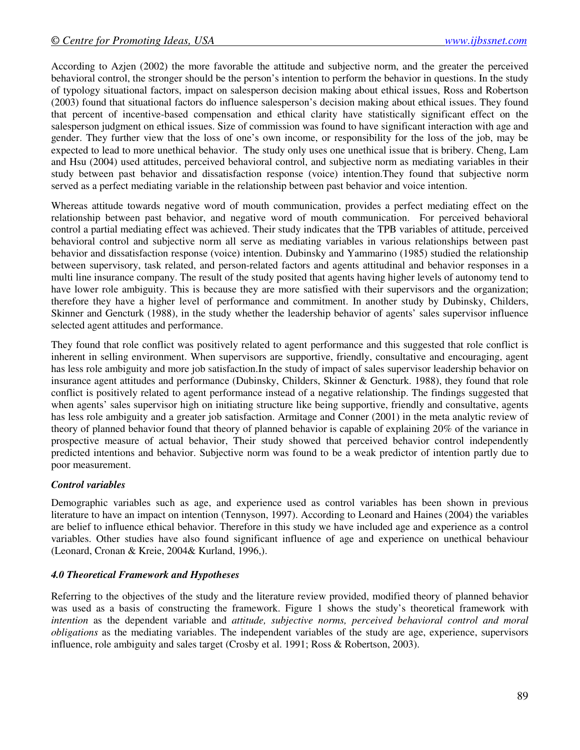According to Azjen (2002) the more favorable the attitude and subjective norm, and the greater the perceived behavioral control, the stronger should be the person's intention to perform the behavior in questions. In the study of typology situational factors, impact on salesperson decision making about ethical issues, Ross and Robertson (2003) found that situational factors do influence salesperson's decision making about ethical issues. They found that percent of incentive-based compensation and ethical clarity have statistically significant effect on the salesperson judgment on ethical issues. Size of commission was found to have significant interaction with age and gender. They further view that the loss of one's own income, or responsibility for the loss of the job, may be expected to lead to more unethical behavior. The study only uses one unethical issue that is bribery. Cheng, Lam and Hsu (2004) used attitudes, perceived behavioral control, and subjective norm as mediating variables in their study between past behavior and dissatisfaction response (voice) intention.They found that subjective norm served as a perfect mediating variable in the relationship between past behavior and voice intention.

Whereas attitude towards negative word of mouth communication, provides a perfect mediating effect on the relationship between past behavior, and negative word of mouth communication. For perceived behavioral control a partial mediating effect was achieved. Their study indicates that the TPB variables of attitude, perceived behavioral control and subjective norm all serve as mediating variables in various relationships between past behavior and dissatisfaction response (voice) intention. Dubinsky and Yammarino (1985) studied the relationship between supervisory, task related, and person-related factors and agents attitudinal and behavior responses in a multi line insurance company. The result of the study posited that agents having higher levels of autonomy tend to have lower role ambiguity. This is because they are more satisfied with their supervisors and the organization; therefore they have a higher level of performance and commitment. In another study by Dubinsky, Childers, Skinner and Gencturk (1988), in the study whether the leadership behavior of agents' sales supervisor influence selected agent attitudes and performance.

They found that role conflict was positively related to agent performance and this suggested that role conflict is inherent in selling environment. When supervisors are supportive, friendly, consultative and encouraging, agent has less role ambiguity and more job satisfaction.In the study of impact of sales supervisor leadership behavior on insurance agent attitudes and performance (Dubinsky, Childers, Skinner & Gencturk. 1988), they found that role conflict is positively related to agent performance instead of a negative relationship. The findings suggested that when agents' sales supervisor high on initiating structure like being supportive, friendly and consultative, agents has less role ambiguity and a greater job satisfaction. Armitage and Conner (2001) in the meta analytic review of theory of planned behavior found that theory of planned behavior is capable of explaining 20% of the variance in prospective measure of actual behavior, Their study showed that perceived behavior control independently predicted intentions and behavior. Subjective norm was found to be a weak predictor of intention partly due to poor measurement.

## *Control variables*

Demographic variables such as age, and experience used as control variables has been shown in previous literature to have an impact on intention (Tennyson, 1997). According to Leonard and Haines (2004) the variables are belief to influence ethical behavior. Therefore in this study we have included age and experience as a control variables. Other studies have also found significant influence of age and experience on unethical behaviour (Leonard, Cronan & Kreie, 2004& Kurland, 1996,).

#### *4.0 Theoretical Framework and Hypotheses*

Referring to the objectives of the study and the literature review provided, modified theory of planned behavior was used as a basis of constructing the framework. Figure 1 shows the study's theoretical framework with *intention* as the dependent variable and *attitude, subjective norms, perceived behavioral control and moral obligations* as the mediating variables. The independent variables of the study are age, experience, supervisors influence, role ambiguity and sales target (Crosby et al. 1991; Ross & Robertson, 2003).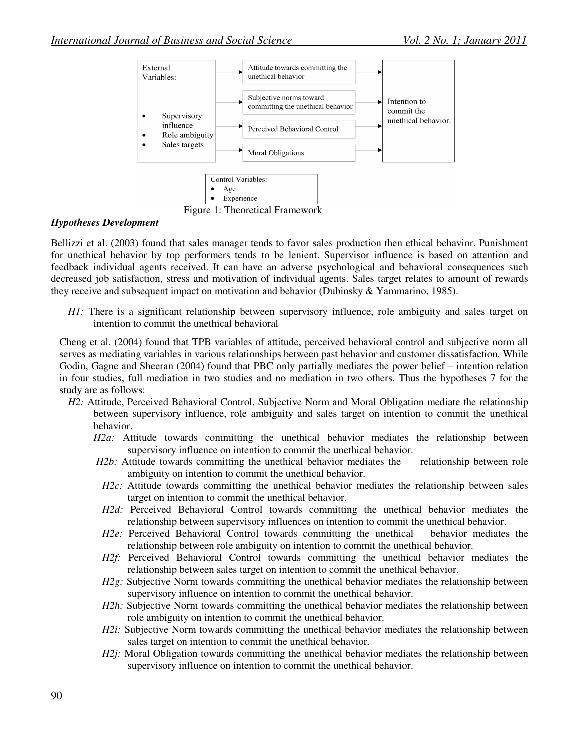

Figure 1: Theoretical Framework

#### *Hypotheses Development*

Bellizzi et al. (2003) found that sales manager tends to favor sales production then ethical behavior. Punishment for unethical behavior by top performers tends to be lenient. Supervisor influence is based on attention and feedback individual agents received. It can have an adverse psychological and behavioral consequences such decreased job satisfaction, stress and motivation of individual agents. Sales target relates to amount of rewards they receive and subsequent impact on motivation and behavior (Dubinsky & Yammarino, 1985).

*H1*: There is a significant relationship between supervisory influence, role ambiguity and sales target on intention to commit the unethical behavioral

Cheng et al. (2004) found that TPB variables of attitude, perceived behavioral control and subjective norm all serves as mediating variables in various relationships between past behavior and customer dissatisfaction. While Godin, Gagne and Sheeran (2004) found that PBC only partially mediates the power belief – intention relation in four studies, full mediation in two studies and no mediation in two others. Thus the hypotheses 7 for the study are as follows:

- *H2*: Attitude, Perceived Behavioral Control, Subjective Norm and Moral Obligation mediate the relationship between supervisory influence, role ambiguity and sales target on intention to commit the unethical behavior.
	- *H2a:* Attitude towards committing the unethical behavior mediates the relationship between supervisory influence on intention to commit the unethical behavior.
	- *H2b*: Attitude towards committing the unethical behavior mediates the relationship between role ambiguity on intention to commit the unethical behavior.
	- *H2c:* Attitude towards committing the unethical behavior mediates the relationship between sales target on intention to commit the unethical behavior.
	- *H2d:* Perceived Behavioral Control towards committing the unethical behavior mediates the relationship between supervisory influences on intention to commit the unethical behavior.
	- *H2e:* Perceived Behavioral Control towards committing the unethical behavior mediates the relationship between role ambiguity on intention to commit the unethical behavior.
	- *H2f:* Perceived Behavioral Control towards committing the unethical behavior mediates the relationship between sales target on intention to commit the unethical behavior.
	- *H2g*: Subjective Norm towards committing the unethical behavior mediates the relationship between supervisory influence on intention to commit the unethical behavior.
	- *H2h:* Subjective Norm towards committing the unethical behavior mediates the relationship between role ambiguity on intention to commit the unethical behavior.
	- *H2i:* Subjective Norm towards committing the unethical behavior mediates the relationship between sales target on intention to commit the unethical behavior.
	- *H2j:* Moral Obligation towards committing the unethical behavior mediates the relationship between supervisory influence on intention to commit the unethical behavior.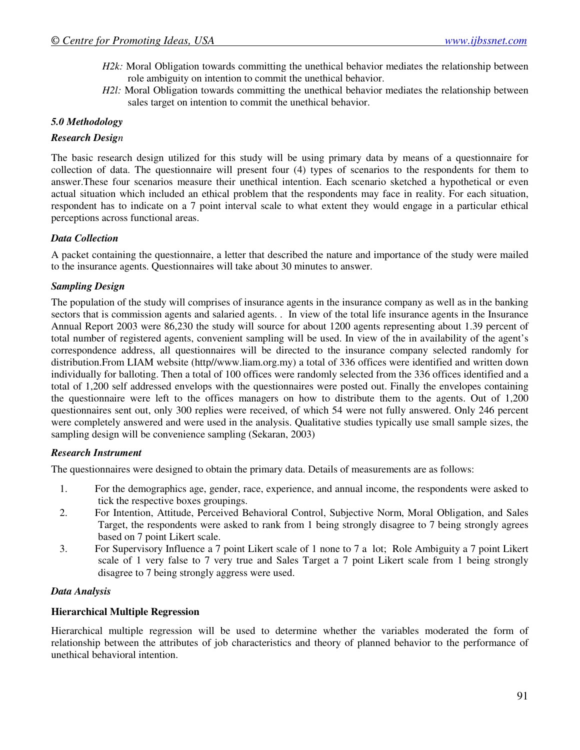- *H2k:* Moral Obligation towards committing the unethical behavior mediates the relationship between role ambiguity on intention to commit the unethical behavior.
- *H2l:* Moral Obligation towards committing the unethical behavior mediates the relationship between sales target on intention to commit the unethical behavior.

## *5.0 Methodology*

#### *Research Design*

The basic research design utilized for this study will be using primary data by means of a questionnaire for collection of data. The questionnaire will present four (4) types of scenarios to the respondents for them to answer.These four scenarios measure their unethical intention. Each scenario sketched a hypothetical or even actual situation which included an ethical problem that the respondents may face in reality. For each situation, respondent has to indicate on a 7 point interval scale to what extent they would engage in a particular ethical perceptions across functional areas.

#### *Data Collection*

A packet containing the questionnaire, a letter that described the nature and importance of the study were mailed to the insurance agents. Questionnaires will take about 30 minutes to answer.

#### *Sampling Design*

The population of the study will comprises of insurance agents in the insurance company as well as in the banking sectors that is commission agents and salaried agents. . In view of the total life insurance agents in the Insurance Annual Report 2003 were 86,230 the study will source for about 1200 agents representing about 1.39 percent of total number of registered agents, convenient sampling will be used. In view of the in availability of the agent's correspondence address, all questionnaires will be directed to the insurance company selected randomly for distribution.From LIAM website (http//www.liam.org.my) a total of 336 offices were identified and written down individually for balloting. Then a total of 100 offices were randomly selected from the 336 offices identified and a total of 1,200 self addressed envelops with the questionnaires were posted out. Finally the envelopes containing the questionnaire were left to the offices managers on how to distribute them to the agents. Out of 1,200 questionnaires sent out, only 300 replies were received, of which 54 were not fully answered. Only 246 percent were completely answered and were used in the analysis. Qualitative studies typically use small sample sizes, the sampling design will be convenience sampling (Sekaran, 2003)

#### *Research Instrument*

The questionnaires were designed to obtain the primary data. Details of measurements are as follows:

- 1. For the demographics age, gender, race, experience, and annual income, the respondents were asked to tick the respective boxes groupings.
- 2. For Intention, Attitude, Perceived Behavioral Control, Subjective Norm, Moral Obligation, and Sales Target, the respondents were asked to rank from 1 being strongly disagree to 7 being strongly agrees based on 7 point Likert scale.
- 3. For Supervisory Influence a 7 point Likert scale of 1 none to 7 a lot; Role Ambiguity a 7 point Likert scale of 1 very false to 7 very true and Sales Target a 7 point Likert scale from 1 being strongly disagree to 7 being strongly aggress were used.

#### *Data Analysis*

#### **Hierarchical Multiple Regression**

Hierarchical multiple regression will be used to determine whether the variables moderated the form of relationship between the attributes of job characteristics and theory of planned behavior to the performance of unethical behavioral intention.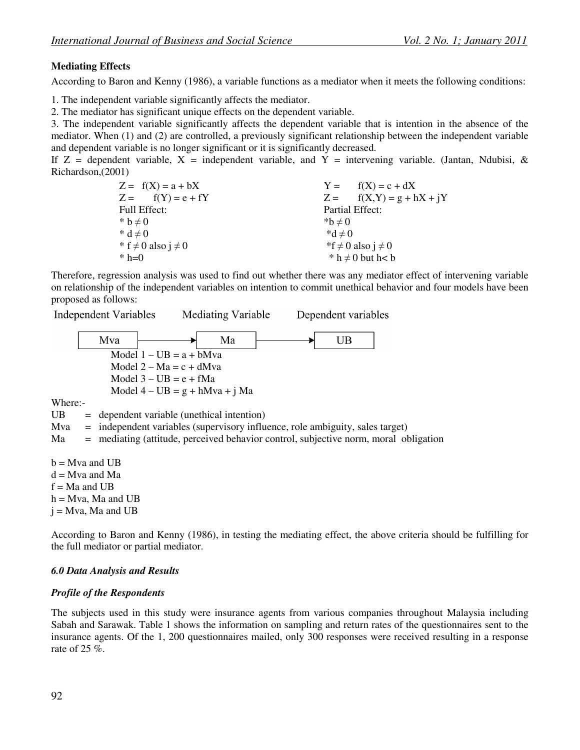## **Mediating Effects**

According to Baron and Kenny (1986), a variable functions as a mediator when it meets the following conditions:

1. The independent variable significantly affects the mediator.

2. The mediator has significant unique effects on the dependent variable.

3. The independent variable significantly affects the dependent variable that is intention in the absence of the mediator. When (1) and (2) are controlled, a previously significant relationship between the independent variable and dependent variable is no longer significant or it is significantly decreased.

If  $Z =$  dependent variable,  $X =$  independent variable, and  $Y =$  intervening variable. (Jantan, Ndubisi, & Richardson,(2001)

| $Z = f(X) = a + bX$          |                 | $Y = f(X) = c + dX$          |
|------------------------------|-----------------|------------------------------|
| $Z = f(Y) = e + fY$          |                 | $Z =$ $f(X,Y) = g + hX + iY$ |
| Full Effect:                 | Partial Effect: |                              |
| * $b \neq 0$                 | * $b \neq 0$    |                              |
| $h * d \neq 0$               | $A^*d \neq 0$   |                              |
| * f $\neq$ 0 also j $\neq$ 0 |                 | *f ≠ 0 also j ≠ 0            |
| * $h=0$                      |                 | * $h \neq 0$ but $h < b$     |

Therefore, regression analysis was used to find out whether there was any mediator effect of intervening variable on relationship of the independent variables on intention to commit unethical behavior and four models have been proposed as follows:

**Independent Variables** 

**Mediating Variable** 

Dependent variables

Mva Ma **UB** Model  $1 - UB = a + bMva$ Model  $2 - Ma = c + dMva$ Model  $3 - UB = e + fMa$ Model 4 – UB = g + hMva + j Ma

Where:-

UB = dependent variable (unethical intention)

Mva = independent variables (supervisory influence, role ambiguity, sales target)

Ma = mediating (attitude, perceived behavior control, subjective norm, moral obligation

 $b = Mva$  and UB  $d = Mva$  and Ma  $f = Ma$  and UB  $h = Mva$ , Ma and UB  $j = Mva$ , Ma and UB

According to Baron and Kenny (1986), in testing the mediating effect, the above criteria should be fulfilling for the full mediator or partial mediator.

## *6.0 Data Analysis and Results*

## *Profile of the Respondents*

The subjects used in this study were insurance agents from various companies throughout Malaysia including Sabah and Sarawak. Table 1 shows the information on sampling and return rates of the questionnaires sent to the insurance agents. Of the 1, 200 questionnaires mailed, only 300 responses were received resulting in a response rate of 25 %.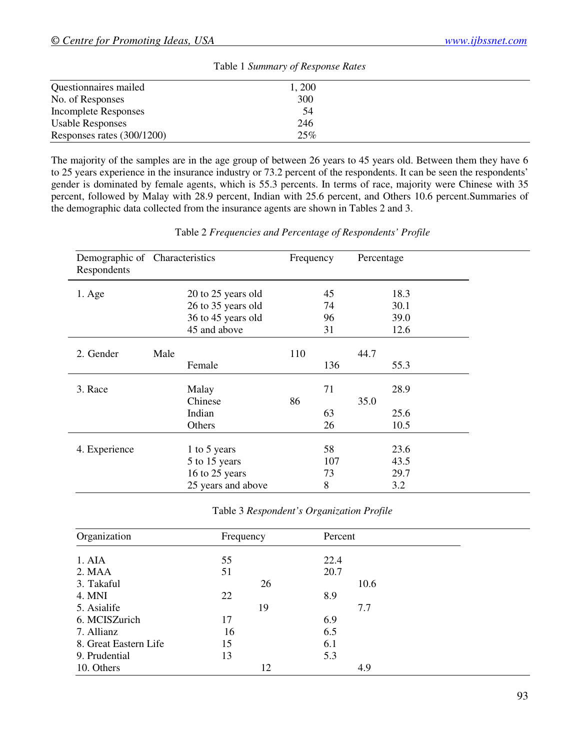| Table 1 Summary of Response Rates |       |  |  |  |
|-----------------------------------|-------|--|--|--|
| Questionnaires mailed             | 1,200 |  |  |  |
| No. of Responses                  | 300   |  |  |  |
| <b>Incomplete Responses</b>       | 54    |  |  |  |
| <b>Usable Responses</b>           | 246   |  |  |  |
| Responses rates (300/1200)        | 25%   |  |  |  |

The majority of the samples are in the age group of between 26 years to 45 years old. Between them they have 6 to 25 years experience in the insurance industry or 73.2 percent of the respondents. It can be seen the respondents' gender is dominated by female agents, which is 55.3 percents. In terms of race, majority were Chinese with 35 percent, followed by Malay with 28.9 percent, Indian with 25.6 percent, and Others 10.6 percent.Summaries of the demographic data collected from the insurance agents are shown in Tables 2 and 3.

| Demographic of Characteristics<br>Respondents |      |                    | Frequency |     | Percentage |      |  |
|-----------------------------------------------|------|--------------------|-----------|-----|------------|------|--|
| $1. \text{Age}$                               |      | 20 to 25 years old |           | 45  |            | 18.3 |  |
|                                               |      | 26 to 35 years old |           | 74  |            | 30.1 |  |
|                                               |      | 36 to 45 years old |           | 96  |            | 39.0 |  |
|                                               |      | 45 and above       |           | 31  |            | 12.6 |  |
| 2. Gender                                     | Male |                    | 110       |     | 44.7       |      |  |
|                                               |      | Female             |           | 136 |            | 55.3 |  |
| 3. Race                                       |      | Malay              |           | 71  |            | 28.9 |  |
|                                               |      | Chinese            | 86        |     | 35.0       |      |  |
|                                               |      | Indian             |           | 63  |            | 25.6 |  |
|                                               |      | Others             |           | 26  |            | 10.5 |  |
| 4. Experience                                 |      | 1 to 5 years       |           | 58  |            | 23.6 |  |
|                                               |      | 5 to 15 years      |           | 107 |            | 43.5 |  |
|                                               |      | 16 to 25 years     |           | 73  |            | 29.7 |  |
|                                               |      | 25 years and above |           | 8   |            | 3.2  |  |

Table 2 *Frequencies and Percentage of Respondents' Profile* 

Table 3 *Respondent's Organization Profile* 

| Organization          | Frequency |    | Percent |      |  |
|-----------------------|-----------|----|---------|------|--|
|                       |           |    |         |      |  |
| 1. AIA                | 55        |    | 22.4    |      |  |
| 2. MAA                | 51        |    | 20.7    |      |  |
| 3. Takaful            |           | 26 |         | 10.6 |  |
| 4. MNI                | 22        |    | 8.9     |      |  |
| 5. Asialife           |           | 19 |         | 7.7  |  |
| 6. MCISZurich         | 17        |    | 6.9     |      |  |
| 7. Allianz            | 16        |    | 6.5     |      |  |
| 8. Great Eastern Life | 15        |    | 6.1     |      |  |
| 9. Prudential         | 13        |    | 5.3     |      |  |
| 10. Others            |           | 12 |         | 4.9  |  |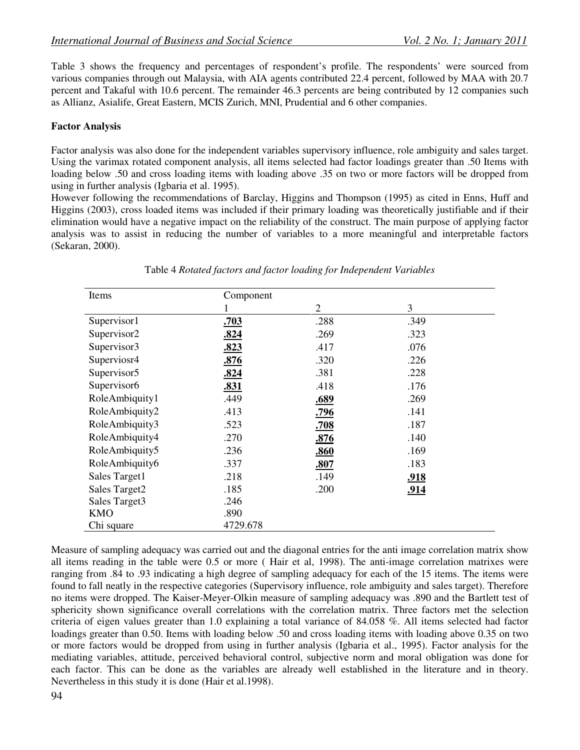Table 3 shows the frequency and percentages of respondent's profile. The respondents' were sourced from various companies through out Malaysia, with AIA agents contributed 22.4 percent, followed by MAA with 20.7 percent and Takaful with 10.6 percent. The remainder 46.3 percents are being contributed by 12 companies such as Allianz, Asialife, Great Eastern, MCIS Zurich, MNI, Prudential and 6 other companies.

## **Factor Analysis**

Factor analysis was also done for the independent variables supervisory influence, role ambiguity and sales target. Using the varimax rotated component analysis, all items selected had factor loadings greater than .50 Items with loading below .50 and cross loading items with loading above .35 on two or more factors will be dropped from using in further analysis (Igbaria et al. 1995).

However following the recommendations of Barclay, Higgins and Thompson (1995) as cited in Enns, Huff and Higgins (2003), cross loaded items was included if their primary loading was theoretically justifiable and if their elimination would have a negative impact on the reliability of the construct. The main purpose of applying factor analysis was to assist in reducing the number of variables to a more meaningful and interpretable factors (Sekaran, 2000).

| Items                   | Component   |                |             |
|-------------------------|-------------|----------------|-------------|
|                         |             | $\overline{2}$ | 3           |
| Supervisor1             | .703        | .288           | .349        |
| Supervisor2             | .824        | .269           | .323        |
| Supervisor3             | .823        | .417           | .076        |
| Superviosr4             | .876        | .320           | .226        |
| Supervisor <sub>5</sub> | <u>.824</u> | .381           | .228        |
| Supervisor6             | .831        | .418           | .176        |
| RoleAmbiquity1          | .449        | .689           | .269        |
| RoleAmbiquity2          | .413        | .796           | .141        |
| RoleAmbiquity3          | .523        | .708           | .187        |
| RoleAmbiquity4          | .270        | .876           | .140        |
| RoleAmbiquity5          | .236        | .860           | .169        |
| RoleAmbiquity6          | .337        | .807           | .183        |
| Sales Target1           | .218        | .149           | <u>.918</u> |
| Sales Target2           | .185        | .200           | .914        |
| Sales Target3           | .246        |                |             |
| <b>KMO</b>              | .890        |                |             |
| Chi square              | 4729.678    |                |             |

Table 4 *Rotated factors and factor loading for Independent Variables*

Measure of sampling adequacy was carried out and the diagonal entries for the anti image correlation matrix show all items reading in the table were 0.5 or more ( Hair et al, 1998). The anti-image correlation matrixes were ranging from .84 to .93 indicating a high degree of sampling adequacy for each of the 15 items. The items were found to fall neatly in the respective categories (Supervisory influence, role ambiguity and sales target). Therefore no items were dropped. The Kaiser-Meyer-Olkin measure of sampling adequacy was .890 and the Bartlett test of sphericity shown significance overall correlations with the correlation matrix. Three factors met the selection criteria of eigen values greater than 1.0 explaining a total variance of 84.058 %. All items selected had factor loadings greater than 0.50. Items with loading below .50 and cross loading items with loading above 0.35 on two or more factors would be dropped from using in further analysis (Igbaria et al., 1995). Factor analysis for the mediating variables, attitude, perceived behavioral control, subjective norm and moral obligation was done for each factor. This can be done as the variables are already well established in the literature and in theory. Nevertheless in this study it is done (Hair et al.1998).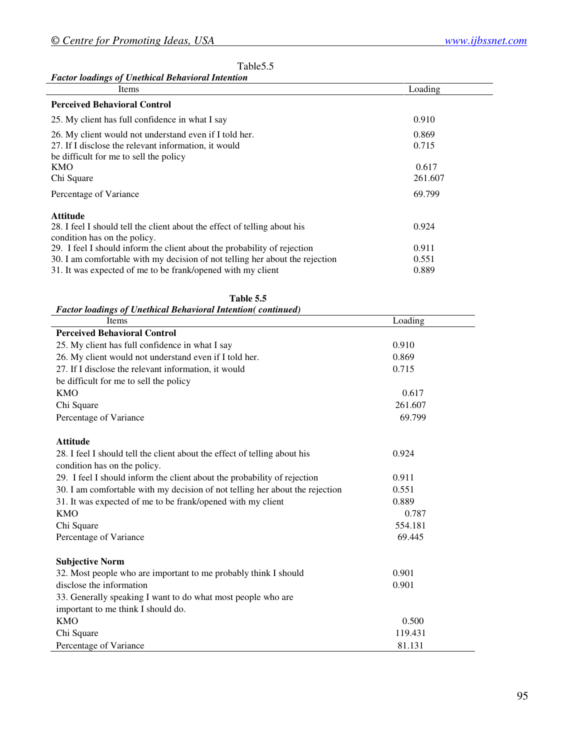#### Table 5.5

#### *Factor loadings of Unethical Behavioral Intention*

| Items                                                                                                                                                                                                                   | Loading                 |
|-------------------------------------------------------------------------------------------------------------------------------------------------------------------------------------------------------------------------|-------------------------|
| <b>Perceived Behavioral Control</b>                                                                                                                                                                                     |                         |
| 25. My client has full confidence in what I say                                                                                                                                                                         | 0.910                   |
| 26. My client would not understand even if I told her.<br>27. If I disclose the relevant information, it would<br>be difficult for me to sell the policy                                                                | 0.869<br>0.715          |
| KMO<br>Chi Square                                                                                                                                                                                                       | 0.617<br>261.607        |
| Percentage of Variance                                                                                                                                                                                                  | 69.799                  |
| <b>Attitude</b><br>28. I feel I should tell the client about the effect of telling about his<br>condition has on the policy.                                                                                            | 0.924                   |
| 29. I feel I should inform the client about the probability of rejection<br>30. I am comfortable with my decision of not telling her about the rejection<br>31. It was expected of me to be frank/opened with my client | 0.911<br>0.551<br>0.889 |

| <b>Factor loadings of Unethical Behavioral Intention(continued)</b>          |         |
|------------------------------------------------------------------------------|---------|
| Items                                                                        | Loading |
| <b>Perceived Behavioral Control</b>                                          |         |
| 25. My client has full confidence in what I say                              | 0.910   |
| 26. My client would not understand even if I told her.                       | 0.869   |
| 27. If I disclose the relevant information, it would                         | 0.715   |
| be difficult for me to sell the policy                                       |         |
| <b>KMO</b>                                                                   | 0.617   |
| Chi Square                                                                   | 261.607 |
| Percentage of Variance                                                       | 69.799  |
| <b>Attitude</b>                                                              |         |
| 28. I feel I should tell the client about the effect of telling about his    | 0.924   |
| condition has on the policy.                                                 |         |
| 29. I feel I should inform the client about the probability of rejection     | 0.911   |
| 30. I am comfortable with my decision of not telling her about the rejection | 0.551   |
| 31. It was expected of me to be frank/opened with my client                  | 0.889   |
| <b>KMO</b>                                                                   | 0.787   |
| Chi Square                                                                   | 554.181 |
| Percentage of Variance                                                       | 69.445  |
| <b>Subjective Norm</b>                                                       |         |
| 32. Most people who are important to me probably think I should              | 0.901   |
| disclose the information                                                     | 0.901   |
| 33. Generally speaking I want to do what most people who are                 |         |
| important to me think I should do.                                           |         |
| <b>KMO</b>                                                                   | 0.500   |
| Chi Square                                                                   | 119.431 |
| Percentage of Variance                                                       | 81.131  |

|                                                          | Table 5.5 |
|----------------------------------------------------------|-----------|
| actor loadings of Unethical Rehavioral Intention(continu |           |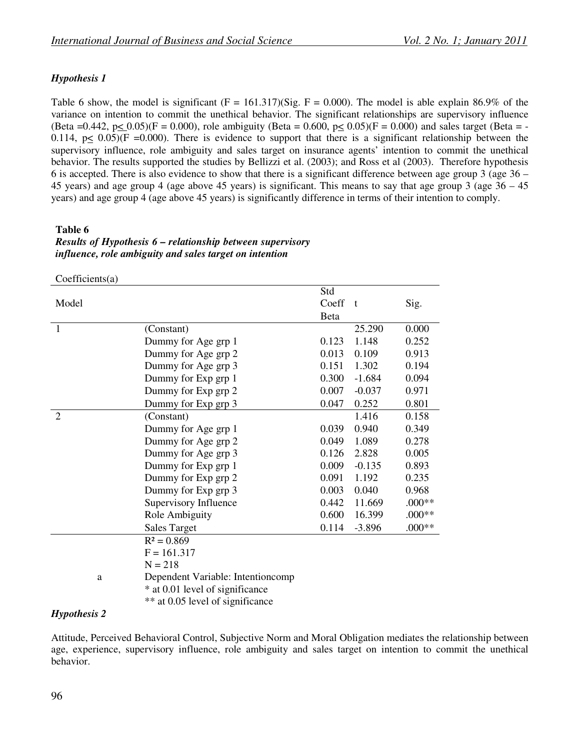## *Hypothesis 1*

Table 6 show, the model is significant  $(F = 161.317)(Sig. F = 0.000)$ . The model is able explain 86.9% of the variance on intention to commit the unethical behavior. The significant relationships are supervisory influence (Beta =0.442, p< 0.05)(F = 0.000), role ambiguity (Beta = 0.600, p< 0.05)(F = 0.000) and sales target (Beta = -0.114,  $p \le 0.05$ )(F =0.000). There is evidence to support that there is a significant relationship between the supervisory influence, role ambiguity and sales target on insurance agents' intention to commit the unethical behavior. The results supported the studies by Bellizzi et al. (2003); and Ross et al (2003). Therefore hypothesis 6 is accepted. There is also evidence to show that there is a significant difference between age group 3 (age 36 – 45 years) and age group 4 (age above 45 years) is significant. This means to say that age group 3 (age 36 – 45 years) and age group 4 (age above 45 years) is significantly difference in terms of their intention to comply.

## **Table 6**

## *Results of Hypothesis 6 – relationship between supervisory influence, role ambiguity and sales target on intention*

#### Coefficients(a)

|                |                                   | Std   |          |          |
|----------------|-----------------------------------|-------|----------|----------|
| Model          |                                   | Coeff | $-t$     | Sig.     |
|                |                                   | Beta  |          |          |
| $\mathbf{1}$   | (Constant)                        |       | 25.290   | 0.000    |
|                | Dummy for Age grp 1               | 0.123 | 1.148    | 0.252    |
|                | Dummy for Age grp 2               | 0.013 | 0.109    | 0.913    |
|                | Dummy for Age grp 3               | 0.151 | 1.302    | 0.194    |
|                | Dummy for Exp grp 1               | 0.300 | $-1.684$ | 0.094    |
|                | Dummy for Exp grp 2               | 0.007 | $-0.037$ | 0.971    |
|                | Dummy for Exp grp 3               | 0.047 | 0.252    | 0.801    |
| $\overline{2}$ | (Constant)                        |       | 1.416    | 0.158    |
|                | Dummy for Age grp 1               | 0.039 | 0.940    | 0.349    |
|                | Dummy for Age grp 2               | 0.049 | 1.089    | 0.278    |
|                | Dummy for Age grp 3               | 0.126 | 2.828    | 0.005    |
|                | Dummy for Exp grp 1               | 0.009 | $-0.135$ | 0.893    |
|                | Dummy for Exp grp 2               | 0.091 | 1.192    | 0.235    |
|                | Dummy for Exp grp 3               | 0.003 | 0.040    | 0.968    |
|                | Supervisory Influence             | 0.442 | 11.669   | $.000**$ |
|                | Role Ambiguity                    | 0.600 | 16.399   | $.000**$ |
|                | <b>Sales Target</b>               | 0.114 | $-3.896$ | $.000**$ |
|                | $R^2 = 0.869$                     |       |          |          |
|                | $F = 161.317$                     |       |          |          |
|                | $N = 218$                         |       |          |          |
| a              | Dependent Variable: Intentioncomp |       |          |          |
|                | * at 0.01 level of significance   |       |          |          |
|                | ** at 0.05 level of significance  |       |          |          |

## *Hypothesis 2*

Attitude, Perceived Behavioral Control, Subjective Norm and Moral Obligation mediates the relationship between age, experience, supervisory influence, role ambiguity and sales target on intention to commit the unethical behavior.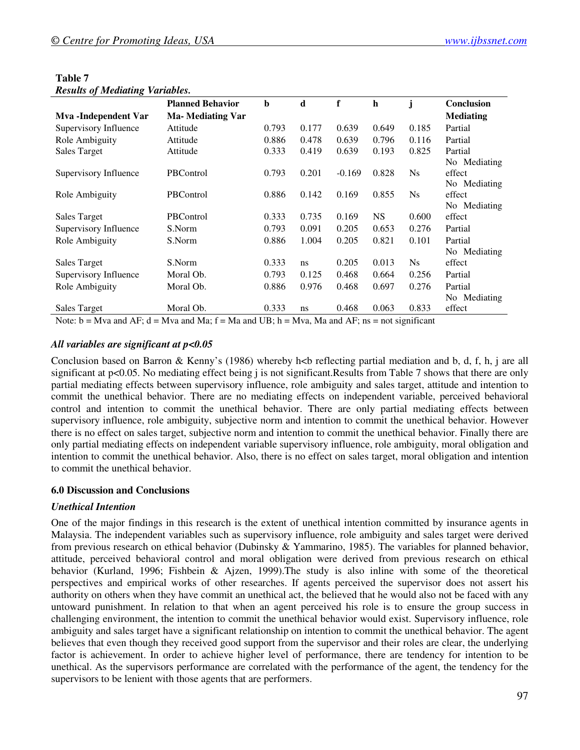| $\cdots$              | <b>Planned Behavior</b>  | b     | d     | f        | h         |                | Conclusion       |
|-----------------------|--------------------------|-------|-------|----------|-----------|----------------|------------------|
| Mva -Independent Var  | <b>Ma- Mediating Var</b> |       |       |          |           |                | <b>Mediating</b> |
| Supervisory Influence | Attitude                 | 0.793 | 0.177 | 0.639    | 0.649     | 0.185          | Partial          |
| Role Ambiguity        | Attitude                 | 0.886 | 0.478 | 0.639    | 0.796     | 0.116          | Partial          |
| Sales Target          | Attitude                 | 0.333 | 0.419 | 0.639    | 0.193     | 0.825          | Partial          |
|                       |                          |       |       |          |           |                | No Mediating     |
| Supervisory Influence | PBControl                | 0.793 | 0.201 | $-0.169$ | 0.828     | N <sub>S</sub> | effect           |
|                       |                          |       |       |          |           |                | No Mediating     |
| Role Ambiguity        | <b>PBC</b> ontrol        | 0.886 | 0.142 | 0.169    | 0.855     | $N_{S}$        | effect           |
|                       |                          |       |       |          |           |                | No Mediating     |
| Sales Target          | <b>PBC</b> ontrol        | 0.333 | 0.735 | 0.169    | <b>NS</b> | 0.600          | effect           |
| Supervisory Influence | S.Norm                   | 0.793 | 0.091 | 0.205    | 0.653     | 0.276          | Partial          |
| Role Ambiguity        | S.Norm                   | 0.886 | 1.004 | 0.205    | 0.821     | 0.101          | Partial          |
|                       |                          |       |       |          |           |                | No Mediating     |
| Sales Target          | S.Norm                   | 0.333 | ns    | 0.205    | 0.013     | $N_{S}$        | effect           |
| Supervisory Influence | Moral Ob.                | 0.793 | 0.125 | 0.468    | 0.664     | 0.256          | Partial          |
| Role Ambiguity        | Moral Ob.                | 0.886 | 0.976 | 0.468    | 0.697     | 0.276          | Partial          |
|                       |                          |       |       |          |           |                | No Mediating     |
| Sales Target          | Moral Ob.                | 0.333 | ns    | 0.468    | 0.063     | 0.833          | effect           |

#### **Table 7**  *Results of Mediating Variables.*

Note:  $b = Mva$  and  $AF$ ;  $d = Mva$  and  $Ma$ ;  $f = Ma$  and  $UB$ ;  $h = Mva$ ,  $Ma$  and  $AF$ ;  $ns = not$  significant

## *All variables are significant at p<0.05*

Conclusion based on Barron & Kenny's (1986) whereby h<br/> $\leq$  b reflecting partial mediation and b, d, f, h, j are all significant at p<0.05. No mediating effect being j is not significant.Results from Table 7 shows that there are only partial mediating effects between supervisory influence, role ambiguity and sales target, attitude and intention to commit the unethical behavior. There are no mediating effects on independent variable, perceived behavioral control and intention to commit the unethical behavior. There are only partial mediating effects between supervisory influence, role ambiguity, subjective norm and intention to commit the unethical behavior. However there is no effect on sales target, subjective norm and intention to commit the unethical behavior. Finally there are only partial mediating effects on independent variable supervisory influence, role ambiguity, moral obligation and intention to commit the unethical behavior. Also, there is no effect on sales target, moral obligation and intention to commit the unethical behavior.

## **6.0 Discussion and Conclusions**

## *Unethical Intention*

One of the major findings in this research is the extent of unethical intention committed by insurance agents in Malaysia. The independent variables such as supervisory influence, role ambiguity and sales target were derived from previous research on ethical behavior (Dubinsky & Yammarino, 1985). The variables for planned behavior, attitude, perceived behavioral control and moral obligation were derived from previous research on ethical behavior (Kurland, 1996; Fishbein & Ajzen, 1999).The study is also inline with some of the theoretical perspectives and empirical works of other researches. If agents perceived the supervisor does not assert his authority on others when they have commit an unethical act, the believed that he would also not be faced with any untoward punishment. In relation to that when an agent perceived his role is to ensure the group success in challenging environment, the intention to commit the unethical behavior would exist. Supervisory influence, role ambiguity and sales target have a significant relationship on intention to commit the unethical behavior. The agent believes that even though they received good support from the supervisor and their roles are clear, the underlying factor is achievement. In order to achieve higher level of performance, there are tendency for intention to be unethical. As the supervisors performance are correlated with the performance of the agent, the tendency for the supervisors to be lenient with those agents that are performers.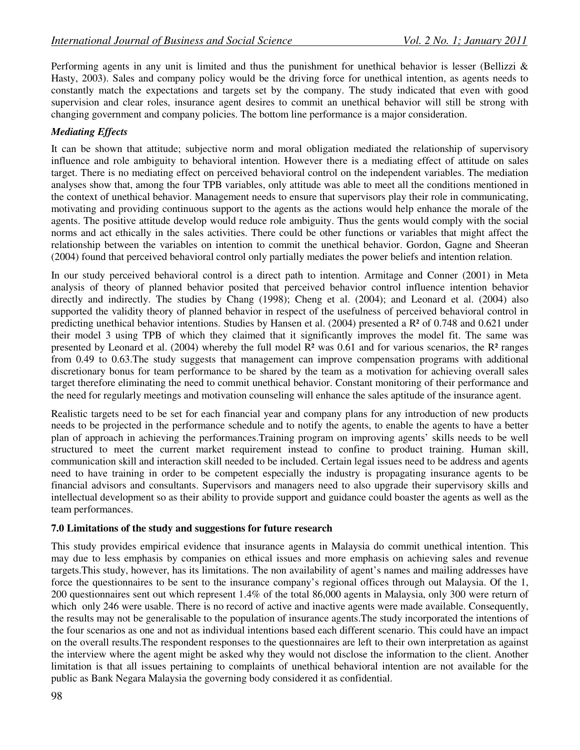Performing agents in any unit is limited and thus the punishment for unethical behavior is lesser (Bellizzi & Hasty, 2003). Sales and company policy would be the driving force for unethical intention, as agents needs to constantly match the expectations and targets set by the company. The study indicated that even with good supervision and clear roles, insurance agent desires to commit an unethical behavior will still be strong with changing government and company policies. The bottom line performance is a major consideration.

## *Mediating Effects*

It can be shown that attitude; subjective norm and moral obligation mediated the relationship of supervisory influence and role ambiguity to behavioral intention. However there is a mediating effect of attitude on sales target. There is no mediating effect on perceived behavioral control on the independent variables. The mediation analyses show that, among the four TPB variables, only attitude was able to meet all the conditions mentioned in the context of unethical behavior. Management needs to ensure that supervisors play their role in communicating, motivating and providing continuous support to the agents as the actions would help enhance the morale of the agents. The positive attitude develop would reduce role ambiguity. Thus the gents would comply with the social norms and act ethically in the sales activities. There could be other functions or variables that might affect the relationship between the variables on intention to commit the unethical behavior. Gordon, Gagne and Sheeran (2004) found that perceived behavioral control only partially mediates the power beliefs and intention relation.

In our study perceived behavioral control is a direct path to intention. Armitage and Conner (2001) in Meta analysis of theory of planned behavior posited that perceived behavior control influence intention behavior directly and indirectly. The studies by Chang (1998); Cheng et al. (2004); and Leonard et al. (2004) also supported the validity theory of planned behavior in respect of the usefulness of perceived behavioral control in predicting unethical behavior intentions. Studies by Hansen et al. (2004) presented a R² of 0.748 and 0.621 under their model 3 using TPB of which they claimed that it significantly improves the model fit. The same was presented by Leonard et al. (2004) whereby the full model  $\mathbb{R}^2$  was 0.61 and for various scenarios, the  $\mathbb{R}^2$  ranges from 0.49 to 0.63.The study suggests that management can improve compensation programs with additional discretionary bonus for team performance to be shared by the team as a motivation for achieving overall sales target therefore eliminating the need to commit unethical behavior. Constant monitoring of their performance and the need for regularly meetings and motivation counseling will enhance the sales aptitude of the insurance agent.

Realistic targets need to be set for each financial year and company plans for any introduction of new products needs to be projected in the performance schedule and to notify the agents, to enable the agents to have a better plan of approach in achieving the performances.Training program on improving agents' skills needs to be well structured to meet the current market requirement instead to confine to product training. Human skill, communication skill and interaction skill needed to be included. Certain legal issues need to be address and agents need to have training in order to be competent especially the industry is propagating insurance agents to be financial advisors and consultants. Supervisors and managers need to also upgrade their supervisory skills and intellectual development so as their ability to provide support and guidance could boaster the agents as well as the team performances.

## **7.0 Limitations of the study and suggestions for future research**

This study provides empirical evidence that insurance agents in Malaysia do commit unethical intention. This may due to less emphasis by companies on ethical issues and more emphasis on achieving sales and revenue targets.This study, however, has its limitations. The non availability of agent's names and mailing addresses have force the questionnaires to be sent to the insurance company's regional offices through out Malaysia. Of the 1, 200 questionnaires sent out which represent 1.4% of the total 86,000 agents in Malaysia, only 300 were return of which only 246 were usable. There is no record of active and inactive agents were made available. Consequently, the results may not be generalisable to the population of insurance agents.The study incorporated the intentions of the four scenarios as one and not as individual intentions based each different scenario. This could have an impact on the overall results.The respondent responses to the questionnaires are left to their own interpretation as against the interview where the agent might be asked why they would not disclose the information to the client. Another limitation is that all issues pertaining to complaints of unethical behavioral intention are not available for the public as Bank Negara Malaysia the governing body considered it as confidential.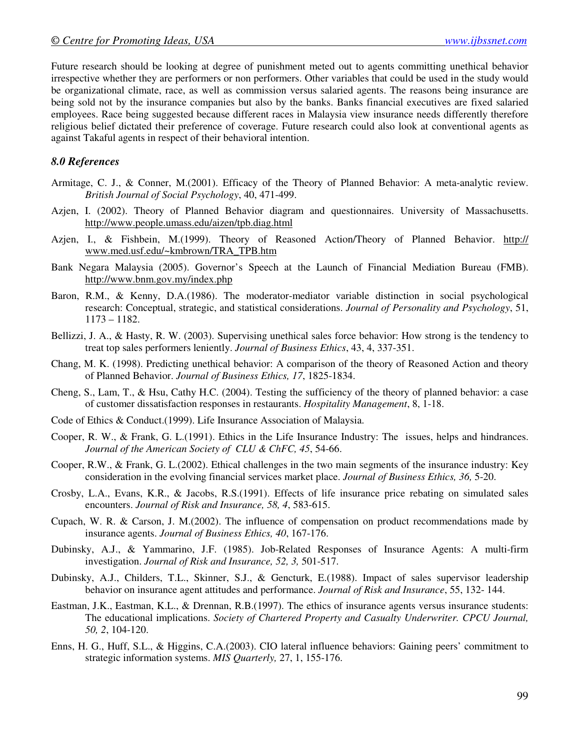Future research should be looking at degree of punishment meted out to agents committing unethical behavior irrespective whether they are performers or non performers. Other variables that could be used in the study would be organizational climate, race, as well as commission versus salaried agents. The reasons being insurance are being sold not by the insurance companies but also by the banks. Banks financial executives are fixed salaried employees. Race being suggested because different races in Malaysia view insurance needs differently therefore religious belief dictated their preference of coverage. Future research could also look at conventional agents as against Takaful agents in respect of their behavioral intention.

#### *8.0 References*

- Armitage, C. J., & Conner, M.(2001). Efficacy of the Theory of Planned Behavior: A meta-analytic review. *British Journal of Social Psychology*, 40, 471-499.
- Azjen, I. (2002). Theory of Planned Behavior diagram and questionnaires. University of Massachusetts. http://www.people.umass.edu/aizen/tpb.diag.html
- Azjen, I., & Fishbein, M.(1999). Theory of Reasoned Action/Theory of Planned Behavior. http:// www.med.usf.edu/~kmbrown/TRA\_TPB.htm
- Bank Negara Malaysia (2005). Governor's Speech at the Launch of Financial Mediation Bureau (FMB). http://www.bnm.gov.my/index.php
- Baron, R.M., & Kenny, D.A.(1986). The moderator-mediator variable distinction in social psychological research: Conceptual, strategic, and statistical considerations. *Journal of Personality and Psychology*, 51, 1173 – 1182.
- Bellizzi, J. A., & Hasty, R. W. (2003). Supervising unethical sales force behavior: How strong is the tendency to treat top sales performers leniently. *Journal of Business Ethics*, 43, 4, 337-351.
- Chang, M. K. (1998). Predicting unethical behavior: A comparison of the theory of Reasoned Action and theory of Planned Behavior. *Journal of Business Ethics, 17*, 1825-1834.
- Cheng, S., Lam, T., & Hsu, Cathy H.C. (2004). Testing the sufficiency of the theory of planned behavior: a case of customer dissatisfaction responses in restaurants. *Hospitality Management*, 8, 1-18.
- Code of Ethics & Conduct.(1999). Life Insurance Association of Malaysia.
- Cooper, R. W., & Frank, G. L.(1991). Ethics in the Life Insurance Industry: The issues, helps and hindrances. *Journal of the American Society of CLU & ChFC, 45*, 54-66.
- Cooper, R.W., & Frank, G. L.(2002). Ethical challenges in the two main segments of the insurance industry: Key consideration in the evolving financial services market place. *Journal of Business Ethics, 36,* 5-20.
- Crosby, L.A., Evans, K.R., & Jacobs, R.S.(1991). Effects of life insurance price rebating on simulated sales encounters. *Journal of Risk and Insurance, 58, 4*, 583-615.
- Cupach, W. R. & Carson, J. M.(2002). The influence of compensation on product recommendations made by insurance agents. *Journal of Business Ethics, 40*, 167-176.
- Dubinsky, A.J., & Yammarino, J.F. (1985). Job-Related Responses of Insurance Agents: A multi-firm investigation. *Journal of Risk and Insurance, 52, 3,* 501-517.
- Dubinsky, A.J., Childers, T.L., Skinner, S.J., & Gencturk, E.(1988). Impact of sales supervisor leadership behavior on insurance agent attitudes and performance. *Journal of Risk and Insurance*, 55, 132- 144.
- Eastman, J.K., Eastman, K.L., & Drennan, R.B.(1997). The ethics of insurance agents versus insurance students: The educational implications. *Society of Chartered Property and Casualty Underwriter. CPCU Journal, 50, 2*, 104-120.
- Enns, H. G., Huff, S.L., & Higgins, C.A.(2003). CIO lateral influence behaviors: Gaining peers' commitment to strategic information systems. *MIS Quarterly,* 27, 1, 155-176.